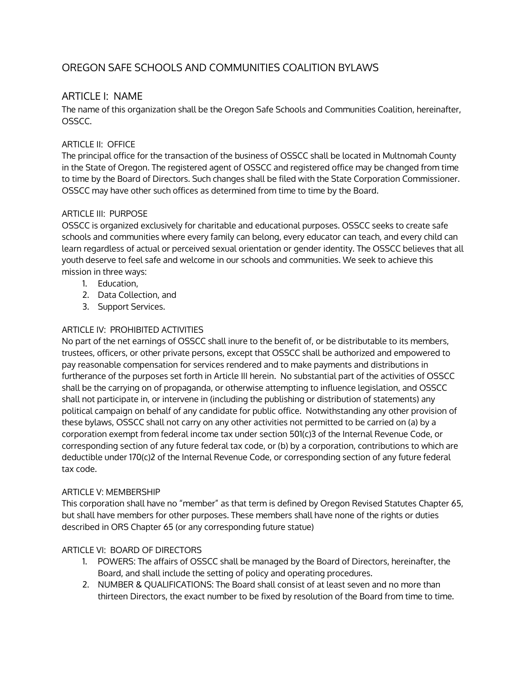# OREGON SAFE SCHOOLS AND COMMUNITIES COALITION BYLAWS

## ARTICLE I: NAME

The name of this organization shall be the Oregon Safe Schools and Communities Coalition, hereinafter, OSSCC.

## ARTICLE II: OFFICE

The principal office for the transaction of the business of OSSCC shall be located in Multnomah County in the State of Oregon. The registered agent of OSSCC and registered office may be changed from time to time by the Board of Directors. Such changes shall be filed with the State Corporation Commissioner. OSSCC may have other such offices as determined from time to time by the Board.

#### ARTICLE III: PURPOSE

OSSCC is organized exclusively for charitable and educational purposes. OSSCC seeks to create safe schools and communities where every family can belong, every educator can teach, and every child can learn regardless of actual or perceived sexual orientation or gender identity. The OSSCC believes that all youth deserve to feel safe and welcome in our schools and communities. We seek to achieve this mission in three ways:

- 1. Education,
- 2. Data Collection, and
- 3. Support Services.

#### ARTICLE IV: PROHIBITED ACTIVITIES

No part of the net earnings of OSSCC shall inure to the benefit of, or be distributable to its members, trustees, officers, or other private persons, except that OSSCC shall be authorized and empowered to pay reasonable compensation for services rendered and to make payments and distributions in furtherance of the purposes set forth in Article III herein. No substantial part of the activities of OSSCC shall be the carrying on of propaganda, or otherwise attempting to influence legislation, and OSSCC shall not participate in, or intervene in (including the publishing or distribution of statements) any political campaign on behalf of any candidate for public office. Notwithstanding any other provision of these bylaws, OSSCC shall not carry on any other activities not permitted to be carried on (a) by a corporation exempt from federal income tax under section 501(c)3 of the Internal Revenue Code, or corresponding section of any future federal tax code, or (b) by a corporation, contributions to which are deductible under 170(c)2 of the Internal Revenue Code, or corresponding section of any future federal tax code.

#### ARTICLE V: MEMBERSHIP

This corporation shall have no "member" as that term is defined by Oregon Revised Statutes Chapter 65, but shall have members for other purposes. These members shall have none of the rights or duties described in ORS Chapter 65 (or any corresponding future statue)

## ARTICLE VI: BOARD OF DIRECTORS

- 1. POWERS: The affairs of OSSCC shall be managed by the Board of Directors, hereinafter, the Board, and shall include the setting of policy and operating procedures.
- 2. NUMBER & QUALIFICATIONS: The Board shall consist of at least seven and no more than thirteen Directors, the exact number to be fixed by resolution of the Board from time to time.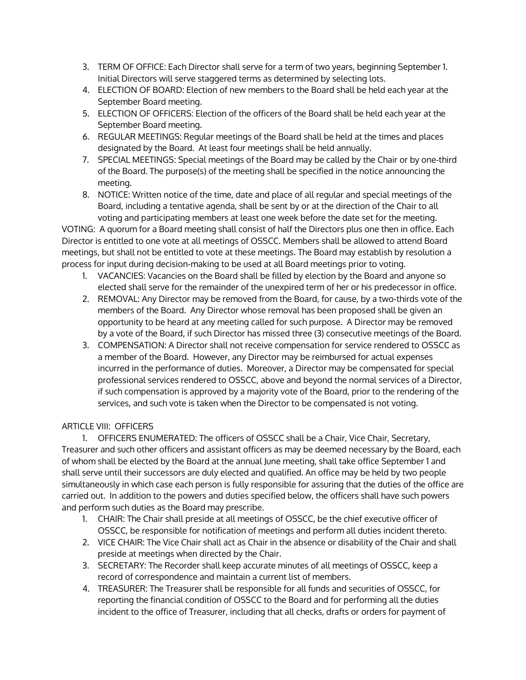- 3. TERM OF OFFICE: Each Director shall serve for a term of two years, beginning September 1. Initial Directors will serve staggered terms as determined by selecting lots.
- 4. ELECTION OF BOARD: Election of new members to the Board shall be held each year at the September Board meeting.
- 5. ELECTION OF OFFICERS: Election of the officers of the Board shall be held each year at the September Board meeting.
- 6. REGULAR MEETINGS: Regular meetings of the Board shall be held at the times and places designated by the Board. At least four meetings shall be held annually.
- 7. SPECIAL MEETINGS: Special meetings of the Board may be called by the Chair or by one-third of the Board. The purpose(s) of the meeting shall be specified in the notice announcing the meeting.
- 8. NOTICE: Written notice of the time, date and place of all regular and special meetings of the Board, including a tentative agenda, shall be sent by or at the direction of the Chair to all voting and participating members at least one week before the date set for the meeting.

VOTING: A quorum for a Board meeting shall consist of half the Directors plus one then in office. Each Director is entitled to one vote at all meetings of OSSCC. Members shall be allowed to attend Board meetings, but shall not be entitled to vote at these meetings. The Board may establish by resolution a process for input during decision-making to be used at all Board meetings prior to voting.

- 1. VACANCIES: Vacancies on the Board shall be filled by election by the Board and anyone so elected shall serve for the remainder of the unexpired term of her or his predecessor in office.
- 2. REMOVAL: Any Director may be removed from the Board, for cause, by a two-thirds vote of the members of the Board. Any Director whose removal has been proposed shall be given an opportunity to be heard at any meeting called for such purpose. A Director may be removed by a vote of the Board, if such Director has missed three (3) consecutive meetings of the Board.
- 3. COMPENSATION: A Director shall not receive compensation for service rendered to OSSCC as a member of the Board. However, any Director may be reimbursed for actual expenses incurred in the performance of duties. Moreover, a Director may be compensated for special professional services rendered to OSSCC, above and beyond the normal services of a Director, if such compensation is approved by a majority vote of the Board, prior to the rendering of the services, and such vote is taken when the Director to be compensated is not voting.

## ARTICLE VIII: OFFICERS

1. OFFICERS ENUMERATED: The officers of OSSCC shall be a Chair, Vice Chair, Secretary, Treasurer and such other officers and assistant officers as may be deemed necessary by the Board, each of whom shall be elected by the Board at the annual June meeting, shall take office September 1 and shall serve until their successors are duly elected and qualified. An office may be held by two people simultaneously in which case each person is fully responsible for assuring that the duties of the office are carried out. In addition to the powers and duties specified below, the officers shall have such powers and perform such duties as the Board may prescribe.

- 1. CHAIR: The Chair shall preside at all meetings of OSSCC, be the chief executive officer of OSSCC, be responsible for notification of meetings and perform all duties incident thereto.
- 2. VICE CHAIR: The Vice Chair shall act as Chair in the absence or disability of the Chair and shall preside at meetings when directed by the Chair.
- 3. SECRETARY: The Recorder shall keep accurate minutes of all meetings of OSSCC, keep a record of correspondence and maintain a current list of members.
- 4. TREASURER: The Treasurer shall be responsible for all funds and securities of OSSCC, for reporting the financial condition of OSSCC to the Board and for performing all the duties incident to the office of Treasurer, including that all checks, drafts or orders for payment of